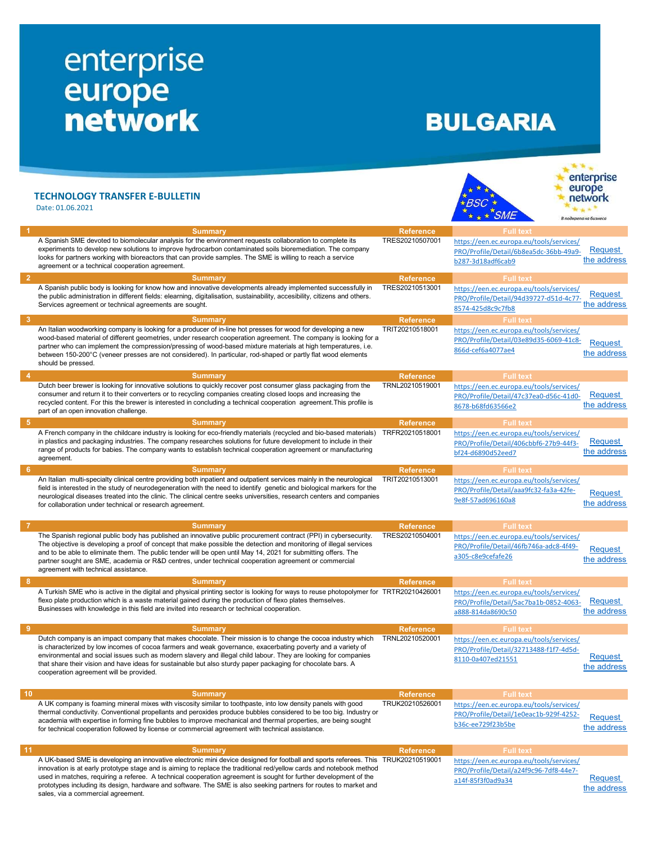## enterprise<br>
europe<br>
network

## **BULGARIA**

|                 | <b>TECHNOLOGY TRANSFER E-BULLETIN</b><br>Date: 01.06.2021                                                                                                                                                                                                                                                                                                                                                                                                                                                                                |                  | <b>BSC</b><br><b>SMF</b>                                                                                | enterprise<br>europe<br>network<br>В подкрела на бизнесс |
|-----------------|------------------------------------------------------------------------------------------------------------------------------------------------------------------------------------------------------------------------------------------------------------------------------------------------------------------------------------------------------------------------------------------------------------------------------------------------------------------------------------------------------------------------------------------|------------------|---------------------------------------------------------------------------------------------------------|----------------------------------------------------------|
|                 | <b>Summary</b>                                                                                                                                                                                                                                                                                                                                                                                                                                                                                                                           | <b>Reference</b> | <b>Full text</b>                                                                                        |                                                          |
|                 | A Spanish SME devoted to biomolecular analysis for the environment requests collaboration to complete its<br>experiments to develop new solutions to improve hydrocarbon contaminated soils bioremediation. The company<br>looks for partners working with bioreactors that can provide samples. The SME is willing to reach a service<br>agreement or a technical cooperation agreement.                                                                                                                                                | TRES20210507001  | https://een.ec.europa.eu/tools/services/<br>PRO/Profile/Detail/6b8ea5dc-36bb-49a9-<br>b287-3d18adf6cab9 | Request<br>the address                                   |
| 2               | <b>Summary</b>                                                                                                                                                                                                                                                                                                                                                                                                                                                                                                                           | <b>Reference</b> | <b>Full text</b>                                                                                        |                                                          |
|                 | A Spanish public body is looking for know how and innovative developments already implemented successfully in<br>the public administration in different fields: elearning, digitalisation, sustainability, accesibility, citizens and others.<br>Services agreement or technical agreements are sought.                                                                                                                                                                                                                                  | TRES20210513001  | https://een.ec.europa.eu/tools/services/<br>PRO/Profile/Detail/94d39727-d51d-4c77-<br>8574-425d8c9c7fb8 | <b>Request</b><br>the address                            |
| 3               | <b>Summary</b>                                                                                                                                                                                                                                                                                                                                                                                                                                                                                                                           | <b>Reference</b> | <b>Full text</b>                                                                                        |                                                          |
|                 | An Italian woodworking company is looking for a producer of in-line hot presses for wood for developing a new<br>wood-based material of different geometries, under research cooperation agreement. The company is looking for a<br>partner who can implement the compression/pressing of wood-based mixture materials at high temperatures, i.e.<br>between 150-200°C (veneer presses are not considered). In particular, rod-shaped or partly flat wood elements<br>should be pressed.                                                 | TRIT20210518001  | https://een.ec.europa.eu/tools/services/<br>PRO/Profile/Detail/03e89d35-6069-41c8-<br>866d-cef6a4077ae4 | <b>Request</b><br>the address                            |
| -4              | <b>Summary</b>                                                                                                                                                                                                                                                                                                                                                                                                                                                                                                                           | <b>Reference</b> | <b>Full text</b>                                                                                        |                                                          |
|                 | Dutch beer brewer is looking for innovative solutions to quickly recover post consumer glass packaging from the<br>consumer and return it to their converters or to recycling companies creating closed loops and increasing the<br>recycled content. For this the brewer is interested in concluding a technical cooperation agreement. This profile is<br>part of an open innovation challenge.                                                                                                                                        | TRNL20210519001  | https://een.ec.europa.eu/tools/services/<br>PRO/Profile/Detail/47c37ea0-d56c-41d0-<br>8678-b68fd63566e2 | <b>Request</b><br>the address                            |
| -5              | <b>Summary</b>                                                                                                                                                                                                                                                                                                                                                                                                                                                                                                                           | <b>Reference</b> | <b>Full text</b>                                                                                        |                                                          |
|                 | A French company in the childcare industry is looking for eco-friendly materials (recycled and bio-based materials)<br>in plastics and packaging industries. The company researches solutions for future development to include in their<br>range of products for babies. The company wants to establish technical cooperation agreement or manufacturing<br>agreement.                                                                                                                                                                  | TRFR20210518001  | https://een.ec.europa.eu/tools/services/<br>PRO/Profile/Detail/406cbbf6-27b9-44f3-<br>bf24-d6890d52eed7 | Request<br>the address                                   |
| 6               | <b>Summary</b>                                                                                                                                                                                                                                                                                                                                                                                                                                                                                                                           | <b>Reference</b> | <b>Full text</b>                                                                                        |                                                          |
|                 | An Italian multi-specialty clinical centre providing both inpatient and outpatient services mainly in the neurological<br>field is interested in the study of neurodegeneration with the need to identify genetic and biological markers for the<br>neurological diseases treated into the clinic. The clinical centre seeks universities, research centers and companies<br>for collaboration under technical or research agreement.                                                                                                    | TRIT20210513001  | https://een.ec.europa.eu/tools/services/<br>PRO/Profile/Detail/aaa9fc32-fa3a-42fe-<br>9e8f-57ad696160a8 | <b>Request</b><br>the address                            |
|                 | <b>Summary</b>                                                                                                                                                                                                                                                                                                                                                                                                                                                                                                                           | <b>Reference</b> | <b>Full text</b>                                                                                        |                                                          |
|                 | The Spanish regional public body has published an innovative public procurement contract (PPI) in cybersecurity.<br>The objective is developing a proof of concept that make possible the detection and monitoring of illegal services<br>and to be able to eliminate them. The public tender will be open until May 14, 2021 for submitting offers. The<br>partner sought are SME, academia or R&D centres, under technical cooperation agreement or commercial<br>agreement with technical assistance.                                 | TRES20210504001  | https://een.ec.europa.eu/tools/services/<br>PRO/Profile/Detail/46fb746a-adc8-4f49-<br>a305-c8e9cefafe26 | <b>Request</b><br>the address                            |
| 8               | <b>Summary</b>                                                                                                                                                                                                                                                                                                                                                                                                                                                                                                                           | <b>Reference</b> | <b>Full text</b>                                                                                        |                                                          |
|                 | A Turkish SME who is active in the digital and physical printing sector is looking for ways to reuse photopolymer for TRTR20210426001<br>flexo plate production which is a waste material gained during the production of flexo plates themselves.<br>Businesses with knowledge in this field are invited into research or technical cooperation.                                                                                                                                                                                        |                  | https://een.ec.europa.eu/tools/services/<br>PRO/Profile/Detail/5ac7ba1b-0852-4063-<br>a888-814da8690c50 | Request<br>the address                                   |
| 9               | <b>Summary</b>                                                                                                                                                                                                                                                                                                                                                                                                                                                                                                                           | <b>Reference</b> | <b>Full text</b>                                                                                        |                                                          |
|                 | Dutch company is an impact company that makes chocolate. Their mission is to change the cocoa industry which<br>is characterized by low incomes of cocoa farmers and weak governance, exacerbating poverty and a variety of<br>environmental and social issues such as modern slavery and illegal child labour. They are looking for companies<br>that share their vision and have ideas for sustainable but also sturdy paper packaging for chocolate bars. A<br>cooperation agreement will be provided.                                | TRNL20210520001  | https://een.ec.europa.eu/tools/services/<br>PRO/Profile/Detail/32713488-f1f7-4d5d-<br>8110-0a407ed21551 | Request<br>the address                                   |
| 10 <sup>°</sup> | <b>Summary</b>                                                                                                                                                                                                                                                                                                                                                                                                                                                                                                                           | <b>Reference</b> | <b>Full text</b>                                                                                        |                                                          |
|                 | A UK company is foaming mineral mixes with viscosity similar to toothpaste, into low density panels with good<br>thermal conductivity. Conventional propellants and peroxides produce bubbles considered to be too big. Industry or<br>academia with expertise in forming fine bubbles to improve mechanical and thermal properties, are being sought<br>for technical cooperation followed by license or commercial agreement with technical assistance.                                                                                | TRUK20210526001  | https://een.ec.europa.eu/tools/services/<br>PRO/Profile/Detail/1e0eac1b-929f-4252-<br>b36c-ee729f23b5be | Request<br>the address                                   |
| 11              | <b>Summary</b>                                                                                                                                                                                                                                                                                                                                                                                                                                                                                                                           | <b>Reference</b> | <b>Full text</b>                                                                                        |                                                          |
|                 | A UK-based SME is developing an innovative electronic mini device designed for football and sports referees. This TRUK20210519001<br>innovation is at early prototype stage and is aiming to replace the traditional red/yellow cards and notebook method<br>used in matches, requiring a referee. A technical cooperation agreement is sought for further development of the<br>prototypes including its design, hardware and software. The SME is also seeking partners for routes to market and<br>sales, via a commercial agreement. |                  | https://een.ec.europa.eu/tools/services/<br>PRO/Profile/Detail/a24f9c96-7df8-44e7-<br>a14f-85f3f0ad9a34 | Request<br>the address                                   |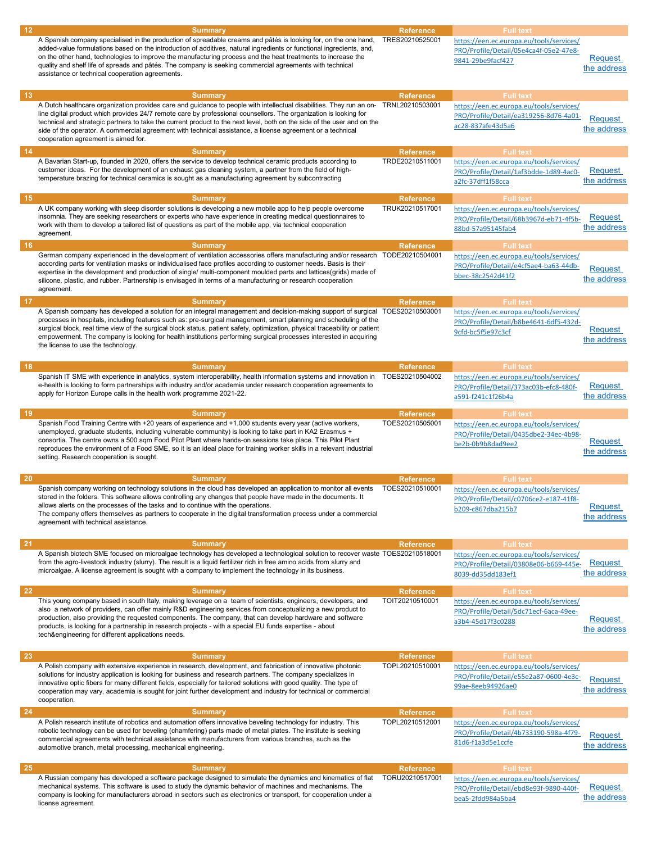| 12 | <b>Summary</b>                                                                                                                                                                                                                                                                                                                                                                                                                                                                                                                               | <b>Reference</b>                    | <b>Full text</b>                                                                                                            |                               |
|----|----------------------------------------------------------------------------------------------------------------------------------------------------------------------------------------------------------------------------------------------------------------------------------------------------------------------------------------------------------------------------------------------------------------------------------------------------------------------------------------------------------------------------------------------|-------------------------------------|-----------------------------------------------------------------------------------------------------------------------------|-------------------------------|
|    | A Spanish company specialised in the production of spreadable creams and pâtés is looking for, on the one hand,<br>added-value formulations based on the introduction of additives, natural ingredients or functional ingredients, and,<br>on the other hand, technologies to improve the manufacturing process and the heat treatments to increase the<br>quality and shelf life of spreads and pâtés. The company is seeking commercial agreements with technical<br>assistance or technical cooperation agreements.                       | TRES20210525001                     | https://een.ec.europa.eu/tools/services/<br>PRO/Profile/Detail/05e4ca4f-05e2-47e8-<br>9841-29be9facf427                     | <b>Request</b><br>the address |
| 13 | <b>Summary</b>                                                                                                                                                                                                                                                                                                                                                                                                                                                                                                                               | <b>Reference</b>                    | <b>Full text</b>                                                                                                            |                               |
|    | A Dutch healthcare organization provides care and guidance to people with intellectual disabilities. They run an on-<br>line digital product which provides 24/7 remote care by professional counsellors. The organization is looking for<br>technical and strategic partners to take the current product to the next level, both on the side of the user and on the<br>side of the operator. A commercial agreement with technical assistance, a license agreement or a technical<br>cooperation agreement is aimed for.                    | TRNL20210503001                     | https://een.ec.europa.eu/tools/services/<br>PRO/Profile/Detail/ea319256-8d76-4a01-<br>ac28-837afe43d5a6                     | <b>Request</b><br>the address |
| 14 | <b>Summary</b>                                                                                                                                                                                                                                                                                                                                                                                                                                                                                                                               | <b>Reference</b>                    | <b>Full text</b>                                                                                                            |                               |
|    | A Bavarian Start-up, founded in 2020, offers the service to develop technical ceramic products according to<br>customer ideas. For the development of an exhaust gas cleaning system, a partner from the field of high-<br>temperature brazing for technical ceramics is sought as a manufacturing agreement by subcontracting                                                                                                                                                                                                               | TRDE20210511001                     | https://een.ec.europa.eu/tools/services/<br>PRO/Profile/Detail/1af3bdde-1d89-4ac0-<br>a2fc-37dff1f58cca                     | Request<br>the address        |
| 15 | <b>Summary</b><br>A UK company working with sleep disorder solutions is developing a new mobile app to help people overcome<br>insomnia. They are seeking researchers or experts who have experience in creating medical questionnaires to<br>work with them to develop a tailored list of questions as part of the mobile app, via technical cooperation<br>agreement.                                                                                                                                                                      | <b>Reference</b><br>TRUK20210517001 | <b>Full text</b><br>https://een.ec.europa.eu/tools/services/<br>PRO/Profile/Detail/68b3967d-eb71-4f5b-<br>88bd-57a95145fab4 | Request<br>the address        |
| 16 | <b>Summary</b>                                                                                                                                                                                                                                                                                                                                                                                                                                                                                                                               | <b>Reference</b>                    | <b>Full text</b>                                                                                                            |                               |
|    | German company experienced in the development of ventilation accessories offers manufacturing and/or research TODE20210504001<br>according parts for ventilation masks or individualised face profiles according to customer needs. Basis is their<br>expertise in the development and production of single/multi-component moulded parts and lattices(grids) made of<br>silicone, plastic, and rubber. Partnership is envisaged in terms of a manufacturing or research cooperation<br>agreement.                                           |                                     | https://een.ec.europa.eu/tools/services/<br>PRO/Profile/Detail/e4cf5ae4-ba63-44db-<br>bbec-38c2542d41f2                     | <b>Request</b><br>the address |
| 17 | <b>Summary</b>                                                                                                                                                                                                                                                                                                                                                                                                                                                                                                                               | <b>Reference</b>                    | <b>Full text</b>                                                                                                            |                               |
|    | A Spanish company has developed a solution for an integral management and decision-making support of surgical TOES20210503001<br>processes in hospitals, including features such as: pre-surgical management, smart planning and scheduling of the<br>surgical block, real time view of the surgical block status, patient safety, optimization, physical traceability or patient<br>empowerment. The company is looking for health institutions performing surgical processes interested in acquiring<br>the license to use the technology. |                                     | https://een.ec.europa.eu/tools/services/<br>PRO/Profile/Detail/b8be4641-6df5-432d-<br>9cfd-bc5f5e97c3cf                     | <b>Request</b><br>the address |
| 18 | <b>Summary</b>                                                                                                                                                                                                                                                                                                                                                                                                                                                                                                                               | <b>Reference</b>                    | <b>Full text</b>                                                                                                            |                               |
|    | Spanish IT SME with experience in analytics, system interoperability, health information systems and innovation in<br>e-health is looking to form partnerships with industry and/or academia under research cooperation agreements to<br>apply for Horizon Europe calls in the health work programme 2021-22.                                                                                                                                                                                                                                | TOES20210504002                     | https://een.ec.europa.eu/tools/services/<br>PRO/Profile/Detail/373ac03b-efc8-480f-<br>a591-f241c1f26b4a                     | Request<br>the address        |
| 19 | <b>Summary</b>                                                                                                                                                                                                                                                                                                                                                                                                                                                                                                                               | <b>Reference</b>                    | <b>Full text</b>                                                                                                            |                               |
|    | Spanish Food Training Centre with +20 years of experience and +1.000 students every year (active workers,<br>unemployed, graduate students, including vulnerable community) is looking to take part in KA2 Erasmus +<br>consortia. The centre owns a 500 sqm Food Pilot Plant where hands-on sessions take place. This Pilot Plant<br>reproduces the environment of a Food SME, so it is an ideal place for training worker skills in a relevant industrial<br>setting. Research cooperation is sought.                                      | TOES20210505001                     | https://een.ec.europa.eu/tools/services/<br>PRO/Profile/Detail/0435dbe2-34ec-4b98-<br>be2b-0b9b8dad9ee2                     | Request<br>the address        |
| 20 | <b>Summary</b>                                                                                                                                                                                                                                                                                                                                                                                                                                                                                                                               | <b>Reference</b>                    | <b>Full text</b>                                                                                                            |                               |
|    | Spanish company working on technology solutions in the cloud has developed an application to monitor all events<br>stored in the folders. This software allows controlling any changes that people have made in the documents. It<br>allows alerts on the processes of the tasks and to continue with the operations.<br>The company offers themselves as partners to cooperate in the digital transformation process under a commercial<br>agreement with technical assistance.                                                             | TOES20210510001                     | https://een.ec.europa.eu/tools/services/<br>PRO/Profile/Detail/c0706ce2-e187-41f8-<br>b209-c867dba215b7                     | Request<br>the address        |
| 21 | <b>Summary</b>                                                                                                                                                                                                                                                                                                                                                                                                                                                                                                                               | <b>Reference</b>                    | <b>Full text</b>                                                                                                            |                               |
|    | A Spanish biotech SME focused on microalgae technology has developed a technological solution to recover waste TOES20210518001<br>from the agro-livestock industry (slurry). The result is a liquid fertilizer rich in free amino acids from slurry and<br>microalgae. A license agreement is sought with a company to implement the technology in its business.                                                                                                                                                                             |                                     | https://een.ec.europa.eu/tools/services/<br>PRO/Profile/Detail/03808e06-b669-445e-<br>8039-dd35dd183ef1                     | Request<br>the address        |
| 22 | <b>Summary</b><br>This young company based in south Italy, making leverage on a team of scientists, engineers, developers, and<br>also a network of providers, can offer mainly R&D engineering services from conceptualizing a new product to<br>production, also providing the requested components. The company, that can develop hardware and software<br>products, is looking for a partnership in research projects - with a special EU funds expertise - about<br>tech&engineering for different applications needs.                  | <b>Reference</b><br>TOIT20210510001 | <b>Full text</b><br>https://een.ec.europa.eu/tools/services/<br>PRO/Profile/Detail/5dc71ecf-6aca-49ee-<br>a3b4-45d17f3c0288 | Request<br>the address        |
| 23 | <b>Summary</b>                                                                                                                                                                                                                                                                                                                                                                                                                                                                                                                               | Reference                           | <b>Full text</b>                                                                                                            |                               |
|    | A Polish company with extensive experience in research, development, and fabrication of innovative photonic<br>solutions for industry application is looking for business and research partners. The company specializes in<br>innovative optic fibers for many different fields, especially for tailored solutions with good quality. The type of<br>cooperation may vary, academia is sought for joint further development and industry for technical or commercial<br>cooperation.                                                        | TOPL20210510001                     | https://een.ec.europa.eu/tools/services/<br>PRO/Profile/Detail/e55e2a87-0600-4e3c-<br>99ae-8eeb94926ae0                     | <b>Request</b><br>the address |
| 24 | <b>Summary</b><br>A Polish research institute of robotics and automation offers innovative beveling technology for industry. This<br>robotic technology can be used for beveling (chamfering) parts made of metal plates. The institute is seeking<br>commercial agreements with technical assistance with manufacturers from various branches, such as the<br>automotive branch, metal processing, mechanical engineering.                                                                                                                  | <b>Reference</b><br>TOPL20210512001 | <b>Full text</b><br>https://een.ec.europa.eu/tools/services/<br>PRO/Profile/Detail/4b733190-598a-4f79-<br>81d6-f1a3d5e1ccfe | <b>Request</b><br>the address |
| 25 | <b>Summary</b>                                                                                                                                                                                                                                                                                                                                                                                                                                                                                                                               | <b>Reference</b>                    | <b>Full text</b>                                                                                                            |                               |
|    | A Russian company has developed a software package designed to simulate the dynamics and kinematics of flat<br>mechanical systems. This software is used to study the dynamic behavior of machines and mechanisms. The<br>company is looking for manufacturers abroad in sectors such as electronics or transport, for cooperation under a<br>license agreement.                                                                                                                                                                             | TORU20210517001                     | https://een.ec.europa.eu/tools/services/<br>PRO/Profile/Detail/ebd8e93f-9890-440f-<br>bea5-2fdd984a5ba4                     | Request<br>the address        |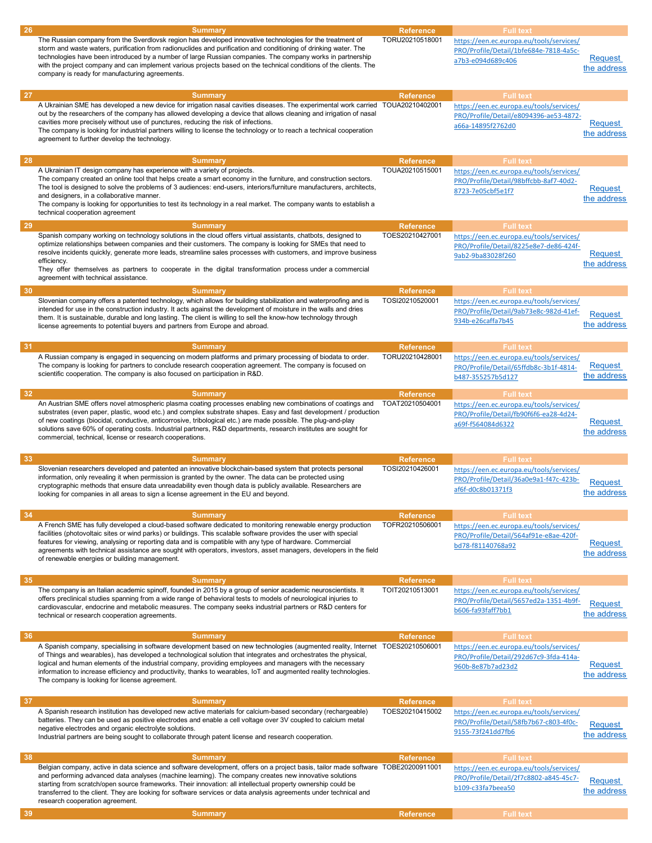| 26 | <b>Summary</b>                                                                                                                                                                                                                                                                                                                                                                                                                                                                                                                       | <b>Reference</b> | <b>Full text</b>                                                                                        |                               |
|----|--------------------------------------------------------------------------------------------------------------------------------------------------------------------------------------------------------------------------------------------------------------------------------------------------------------------------------------------------------------------------------------------------------------------------------------------------------------------------------------------------------------------------------------|------------------|---------------------------------------------------------------------------------------------------------|-------------------------------|
|    | The Russian company from the Sverdlovsk region has developed innovative technologies for the treatment of<br>storm and waste waters, purification from radionuclides and purification and conditioning of drinking water. The<br>technologies have been introduced by a number of large Russian companies. The company works in partnership<br>with the project company and can implement various projects based on the technical conditions of the clients. The<br>company is ready for manufacturing agreements.                   | TORU20210518001  | https://een.ec.europa.eu/tools/services/<br>PRO/Profile/Detail/1bfe684e-7818-4a5c-<br>a7b3-e094d689c406 | Request<br>the address        |
|    |                                                                                                                                                                                                                                                                                                                                                                                                                                                                                                                                      |                  |                                                                                                         |                               |
| 27 | <b>Summary</b>                                                                                                                                                                                                                                                                                                                                                                                                                                                                                                                       | <b>Reference</b> | <b>Full text</b>                                                                                        |                               |
|    | A Ukrainian SME has developed a new device for irrigation nasal cavities diseases. The experimental work carried<br>out by the researchers of the company has allowed developing a device that allows cleaning and irrigation of nasal<br>cavities more precisely without use of punctures, reducing the risk of infections.<br>The company is looking for industrial partners willing to license the technology or to reach a technical cooperation<br>agreement to further develop the technology.                                 | TOUA20210402001  | https://een.ec.europa.eu/tools/services/<br>PRO/Profile/Detail/e8094396-ae53-4872-<br>a66a-14895f2762d0 | <b>Request</b><br>the address |
| 28 | <b>Summary</b>                                                                                                                                                                                                                                                                                                                                                                                                                                                                                                                       | <b>Reference</b> | <b>Full text</b>                                                                                        |                               |
|    | A Ukrainian IT design company has experience with a variety of projects.<br>The company created an online tool that helps create a smart economy in the furniture, and construction sectors.<br>The tool is designed to solve the problems of 3 audiences: end-users, interiors/furniture manufacturers, architects,<br>and designers, in a collaborative manner.<br>The company is looking for opportunities to test its technology in a real market. The company wants to establish a<br>technical cooperation agreement           | TOUA20210515001  | https://een.ec.europa.eu/tools/services/<br>PRO/Profile/Detail/98bffcbb-8af7-40d2-<br>8723-7e05cbf5e1f7 | <b>Request</b><br>the address |
| 29 | <b>Summary</b>                                                                                                                                                                                                                                                                                                                                                                                                                                                                                                                       | <b>Reference</b> | <b>Full text</b>                                                                                        |                               |
|    | Spanish company working on technology solutions in the cloud offers virtual assistants, chatbots, designed to<br>optimize relationships between companies and their customers. The company is looking for SMEs that need to<br>resolve incidents quickly, generate more leads, streamline sales processes with customers, and improve business<br>efficiency.<br>They offer themselves as partners to cooperate in the digital transformation process under a commercial<br>agreement with technical assistance.                     | TOES20210427001  | https://een.ec.europa.eu/tools/services/<br>PRO/Profile/Detail/8225e8e7-de86-424f-<br>9ab2-9ba83028f260 | Request<br>the address        |
| 30 | <b>Summary</b>                                                                                                                                                                                                                                                                                                                                                                                                                                                                                                                       | <b>Reference</b> | <b>Full text</b>                                                                                        |                               |
|    | Slovenian company offers a patented technology, which allows for building stabilization and waterproofing and is<br>intended for use in the construction industry. It acts against the development of moisture in the walls and dries<br>them. It is sustainable, durable and long lasting. The client is willing to sell the know-how technology through<br>license agreements to potential buyers and partners from Europe and abroad.                                                                                             | TOSI20210520001  | https://een.ec.europa.eu/tools/services/<br>PRO/Profile/Detail/9ab73e8c-982d-41ef-<br>934b-e26caffa7b45 | <b>Request</b><br>the address |
| 31 | <b>Summary</b>                                                                                                                                                                                                                                                                                                                                                                                                                                                                                                                       | <b>Reference</b> | <b>Full text</b>                                                                                        |                               |
|    | A Russian company is engaged in sequencing on modern platforms and primary processing of biodata to order.<br>The company is looking for partners to conclude research cooperation agreement. The company is focused on<br>scientific cooperation. The company is also focused on participation in R&D.                                                                                                                                                                                                                              | TORU20210428001  | https://een.ec.europa.eu/tools/services/<br>PRO/Profile/Detail/65ffdb8c-3b1f-4814-<br>b487-355257b5d127 | <b>Request</b><br>the address |
| 32 | <b>Summary</b>                                                                                                                                                                                                                                                                                                                                                                                                                                                                                                                       | <b>Reference</b> | <b>Full text</b>                                                                                        |                               |
|    | An Austrian SME offers novel atmospheric plasma coating processes enabling new combinations of coatings and<br>substrates (even paper, plastic, wood etc.) and complex substrate shapes. Easy and fast development / production<br>of new coatings (biocidal, conductive, anticorrosive, tribological etc.) are made possible. The plug-and-play<br>solutions save 60% of operating costs. Industrial partners, R&D departments, research institutes are sought for<br>commercial, technical, license or research cooperations.      | TOAT20210504001  | https://een.ec.europa.eu/tools/services/<br>PRO/Profile/Detail/fb90f6f6-ea28-4d24-<br>a69f-f564084d6322 | Request<br>the address        |
| 33 | <b>Summary</b>                                                                                                                                                                                                                                                                                                                                                                                                                                                                                                                       | <b>Reference</b> | <b>Full text</b>                                                                                        |                               |
|    | Slovenian researchers developed and patented an innovative blockchain-based system that protects personal<br>information, only revealing it when permission is granted by the owner. The data can be protected using<br>cryptographic methods that ensure data unreadability even though data is publicly available. Researchers are<br>looking for companies in all areas to sign a license agreement in the EU and beyond.                                                                                                         | TOSI20210426001  | https://een.ec.europa.eu/tools/services/<br>PRO/Profile/Detail/36a0e9a1-f47c-423b-<br>af6f-d0c8b01371f3 | <b>Request</b><br>the address |
| 34 | <b>Summary</b>                                                                                                                                                                                                                                                                                                                                                                                                                                                                                                                       | <b>Reference</b> | <b>Full text</b>                                                                                        |                               |
|    | A French SME has fully developed a cloud-based software dedicated to monitoring renewable energy production<br>facilities (photovoltaic sites or wind parks) or buildings. This scalable software provides the user with special<br>features for viewing, analysing or reporting data and is compatible with any type of hardware. Commercial<br>agreements with technical assistance are sought with operators, investors, asset managers, developers in the field<br>of renewable energies or building management.                 | TOFR20210506001  | https://een.ec.europa.eu/tools/services/<br>PRO/Profile/Detail/564af91e-e8ae-420f-<br>bd78-f81140768a92 | Request<br>the address        |
| 35 | <b>Summary</b>                                                                                                                                                                                                                                                                                                                                                                                                                                                                                                                       | <b>Reference</b> | <b>Full text</b>                                                                                        |                               |
|    | The company is an Italian academic spinoff, founded in 2015 by a group of senior academic neuroscientists. It<br>offers preclinical studies spanning from a wide range of behavioral tests to models of neurological injuries to<br>cardiovascular, endocrine and metabolic measures. The company seeks industrial partners or R&D centers for<br>technical or research cooperation agreements.                                                                                                                                      | TOIT20210513001  | https://een.ec.europa.eu/tools/services/<br>PRO/Profile/Detail/5657ed2a-1351-4b9f-<br>b606-fa93faff7bb1 | <b>Request</b><br>the address |
| 36 | <b>Summary</b>                                                                                                                                                                                                                                                                                                                                                                                                                                                                                                                       | <b>Reference</b> | <b>Full text</b>                                                                                        |                               |
|    | A Spanish company, specialising in software development based on new technologies (augmented reality, Internet TOES20210506001<br>of Things and wearables), has developed a technological solution that integrates and orchestrates the physical,<br>logical and human elements of the industrial company, providing employees and managers with the necessary<br>information to increase efficiency and productivity, thanks to wearables, IoT and augmented reality technologies.<br>The company is looking for license agreement. |                  | https://een.ec.europa.eu/tools/services/<br>PRO/Profile/Detail/292d67c9-3fda-414a-<br>960b-8e87b7ad23d2 | Request<br>the address        |
| 37 | <b>Summary</b>                                                                                                                                                                                                                                                                                                                                                                                                                                                                                                                       | <b>Reference</b> | <b>Full text</b>                                                                                        |                               |
|    | A Spanish research institution has developed new active materials for calcium-based secondary (rechargeable)<br>batteries. They can be used as positive electrodes and enable a cell voltage over 3V coupled to calcium metal<br>negative electrodes and organic electrolyte solutions.<br>Industrial partners are being sought to collaborate through patent license and research cooperation.                                                                                                                                      | TOES20210415002  | https://een.ec.europa.eu/tools/services/<br>PRO/Profile/Detail/58fb7b67-c803-4f0c-<br>9155-73f241dd7fb6 | Request<br>the address        |
| 38 | <b>Summary</b>                                                                                                                                                                                                                                                                                                                                                                                                                                                                                                                       | <b>Reference</b> | <b>Full text</b>                                                                                        |                               |
|    | Belgian company, active in data science and software development, offers on a project basis, tailor made software TOBE20200911001<br>and performing advanced data analyses (machine learning). The company creates new innovative solutions<br>starting from scratch/open source frameworks. Their innovation: all intellectual property ownership could be<br>transferred to the client. They are looking for software services or data analysis agreements under technical and<br>research cooperation agreement.                  |                  | https://een.ec.europa.eu/tools/services/<br>PRO/Profile/Detail/2f7c8802-a845-45c7-<br>b109-c33fa7beea50 | <b>Request</b><br>the address |
| 39 | <b>Summary</b>                                                                                                                                                                                                                                                                                                                                                                                                                                                                                                                       | <b>Reference</b> | <b>Full text</b>                                                                                        |                               |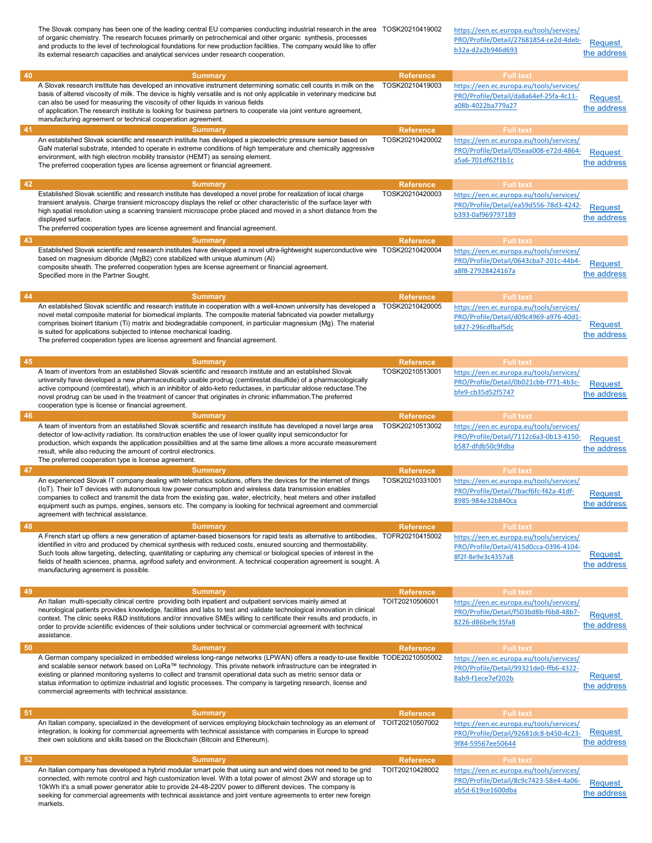|       | The Slovak company has been one of the leading central EU companies conducting industrial research in the area TOSK20210419002<br>of organic chemistry. The research focuses primarily on petrochemical and other organic synthesis, processes<br>and products to the level of technological foundations for new production facilities. The company would like to offer<br>its external research capacities and analytical services under research cooperation.                                                                                      |                                     | https://een.ec.europa.eu/tools/services/<br>PRO/Profile/Detail/27681854-ce2d-4deb-<br>b32a-d2a2b946d693                     | Request<br>the address |
|-------|------------------------------------------------------------------------------------------------------------------------------------------------------------------------------------------------------------------------------------------------------------------------------------------------------------------------------------------------------------------------------------------------------------------------------------------------------------------------------------------------------------------------------------------------------|-------------------------------------|-----------------------------------------------------------------------------------------------------------------------------|------------------------|
| 40    | <b>Summary</b>                                                                                                                                                                                                                                                                                                                                                                                                                                                                                                                                       | Reference                           | <b>Full text</b>                                                                                                            |                        |
|       | A Slovak research institute has developed an innovative instrument determining somatic cell counts in milk on the<br>basis of altered viscosity of milk. The device is highly versatile and is not only applicable in veterinary medicine but<br>can also be used for measuring the viscosity of other liquids in various fields<br>of application. The research institute is looking for business partners to cooperate via joint venture agreement,<br>manufacturing agreement or technical cooperation agreement.                                 | TOSK20210419003                     | https://een.ec.europa.eu/tools/services/<br>PRO/Profile/Detail/da8a64ef-25fa-4c11-<br>a08b-4022ba779a27                     | Request<br>the address |
| -41   | <b>Summary</b>                                                                                                                                                                                                                                                                                                                                                                                                                                                                                                                                       | <b>Reference</b>                    | <b>Full text</b>                                                                                                            |                        |
|       | An established Slovak scientific and research institute has developed a piezoelectric pressure sensor based on<br>GaN material substrate, intended to operate in extreme conditions of high temperature and chemically aggressive<br>environment, with high electron mobility transistor (HEMT) as sensing element.<br>The preferred cooperation types are license agreement or financial agreement.                                                                                                                                                 | TOSK20210420002                     | https://een.ec.europa.eu/tools/services/<br>PRO/Profile/Detail/05eaa008-e72d-4864-<br>a5a6-701df62f1b1c                     | Request<br>the address |
| 42    | <b>Summary</b>                                                                                                                                                                                                                                                                                                                                                                                                                                                                                                                                       | <b>Reference</b>                    | <b>Full text</b>                                                                                                            |                        |
|       | Established Slovak scientific and research institute has developed a novel probe for realization of local charge<br>transient analysis. Charge transient microscopy displays the relief or other characteristic of the surface layer with<br>high spatial resolution using a scanning transient microscope probe placed and moved in a short distance from the<br>displayed surface.<br>The preferred cooperation types are license agreement and financial agreement.                                                                               | TOSK20210420003                     | https://een.ec.europa.eu/tools/services/<br>PRO/Profile/Detail/ea59d556-78d3-4242-<br>b393-0af969797189                     | Request<br>the address |
| 43    | <b>Summary</b>                                                                                                                                                                                                                                                                                                                                                                                                                                                                                                                                       | <b>Reference</b>                    | <b>Full text</b>                                                                                                            |                        |
|       | Established Slovak scientific and research institutes have developed a novel ultra-lightweight superconductive wire TOSK20210420004<br>based on magnesium diboride (MgB2) core stabilized with unique aluminum (AI)<br>composite sheath. The preferred cooperation types are license agreement or financial agreement.<br>Specified more in the Partner Sought.                                                                                                                                                                                      |                                     | https://een.ec.europa.eu/tools/services/<br>PRO/Profile/Detail/0643cba7-201c-44b4-<br>a8f8-27928424167a                     | Request<br>the address |
| 44    | <b>Summary</b><br>An established Slovak scientific and research institute in cooperation with a well-known university has developed a TOSK20210420005<br>novel metal composite material for biomedical implants. The composite material fabricated via powder metallurgy<br>comprises bioinert titanium (Ti) matrix and biodegradable component, in particular magnesium (Mg). The material<br>is suited for applications subjected to intense mechanical loading.<br>The preferred cooperation types are license agreement and financial agreement. | <b>Reference</b>                    | <b>Full text</b><br>https://een.ec.europa.eu/tools/services/<br>PRO/Profile/Detail/d09c4969-a976-40d1-<br>b827-296cdfbaf5dc | Request<br>the address |
| 45    | <b>Summary</b><br>A team of inventors from an established Slovak scientific and research institute and an established Slovak<br>university have developed a new pharmaceutically usable prodrug (cemtirestat disulfide) of a pharmacologically<br>active compound (cemtirestat), which is an inhibitor of aldo-keto reductases, in particular aldose reductase.The<br>novel prodrug can be used in the treatment of cancer that originates in chronic inflammation. The preferred<br>cooperation type is license or financial agreement.             | <b>Reference</b><br>TOSK20210513001 | <b>Full text</b><br>https://een.ec.europa.eu/tools/services/<br>PRO/Profile/Detail/0b021cbb-f771-4b3c-<br>bfe9-cb35d52f5747 | Request<br>the address |
| 46    | <b>Summary</b>                                                                                                                                                                                                                                                                                                                                                                                                                                                                                                                                       | <b>Reference</b>                    | <b>Full text</b>                                                                                                            |                        |
|       | A team of inventors from an established Slovak scientific and research institute has developed a novel large area<br>detector of low-activity radiation. Its construction enables the use of lower quality input semiconductor for<br>production, which expands the application possibilities and at the same time allows a more accurate measurement<br>result, while also reducing the amount of control electronics.<br>The preferred cooperation type is license agreement.                                                                      | TOSK20210513002                     | https://een.ec.europa.eu/tools/services/<br>PRO/Profile/Detail/7112c6a3-0b13-4150-<br>b587-dfdb50c9fdba                     | Request<br>the address |
| 47    | <b>Summary</b>                                                                                                                                                                                                                                                                                                                                                                                                                                                                                                                                       | <b>Reference</b>                    | <b>Full text</b>                                                                                                            |                        |
|       | An experienced Slovak IT company dealing with telematics solutions, offers the devices for the internet of things<br>(IoT). Their IoT devices with autonomous low power consumption and wireless data transmission enables<br>companies to collect and transmit the data from the existing gas, water, electricity, heat meters and other installed<br>equipment such as pumps, engines, sensors etc. The company is looking for technical agreement and commercial<br>agreement with technical assistance.                                          | TOSK20210331001                     | https://een.ec.europa.eu/tools/services/<br>PRO/Profile/Detail/7bacf6fc-f42a-41df-<br>8985-984e32b840ca                     | Request<br>the address |
| 48    | <b>Summary</b>                                                                                                                                                                                                                                                                                                                                                                                                                                                                                                                                       | <b>Reference</b>                    | <b>Full text</b>                                                                                                            |                        |
|       | A French start up offers a new generation of aptamer-based biosensors for rapid tests as alternative to antibodies, TOFR20210415002<br>identified in vitro and produced by chemical synthesis with reduced costs, ensured sourcing and thermostability.<br>Such tools allow targeting, detecting, quantitating or capturing any chemical or biological species of interest in the<br>fields of health sciences, pharma, agrifood safety and environment. A technical cooperation agreement is sought. A<br>manufacturing agreement is possible.      |                                     | https://een.ec.europa.eu/tools/services/<br>PRO/Profile/Detail/415d0cca-0396-4104-<br>8f2f-8e9e3c4357a8                     | Request<br>the address |
| 49    | <b>Summary</b>                                                                                                                                                                                                                                                                                                                                                                                                                                                                                                                                       | <b>Reference</b>                    | <b>Full text</b>                                                                                                            |                        |
|       | An Italian multi-specialty clinical centre providing both inpatient and outpatient services mainly aimed at<br>neurological patients provides knowledge, facilities and labs to test and validate technological innovation in clinical<br>context. The clinic seeks R&D institutions and/or innovative SMEs willing to certificate their results and products, in<br>order to provide scientific evidences of their solutions under technical or commercial agreement with technical<br>assistance.                                                  | TOIT20210506001                     | https://een.ec.europa.eu/tools/services/<br>PRO/Profile/Detail/f503bd8b-f6b8-48b7-<br>8226-d86be9c35fa8                     | Request<br>the address |
| -50   | <b>Summary</b>                                                                                                                                                                                                                                                                                                                                                                                                                                                                                                                                       | <b>Reference</b>                    | <b>Full text</b>                                                                                                            |                        |
|       | A German company specialized in embedded wireless long-range networks (LPWAN) offers a ready-to-use flexible TODE20210505002<br>and scalable sensor network based on LoRa™ technology. This private network infrastructure can be integrated in<br>existing or planned monitoring systems to collect and transmit operational data such as metric sensor data or<br>status information to optimize industrial and logistic processes. The company is targeting research, license and<br>commercial agreements with technical assistance.             |                                     | https://een.ec.europa.eu/tools/services/<br>PRO/Profile/Detail/99321de0-ffb6-4322-<br>8ab9-f1ece7ef202b                     | Request<br>the address |
| $-51$ | <b>Summary</b>                                                                                                                                                                                                                                                                                                                                                                                                                                                                                                                                       | <b>Reference</b>                    | <b>Full text</b>                                                                                                            |                        |
|       | An Italian company, specialized in the development of services employing blockchain technology as an element of<br>integration, is looking for commercial agreements with technical assistance with companies in Europe to spread<br>their own solutions and skills based on the Blockchain (Bitcoin and Ethereum).                                                                                                                                                                                                                                  | TOIT20210507002                     | https://een.ec.europa.eu/tools/services/<br>PRO/Profile/Detail/92681dc8-b450-4c23-<br>9f84-59567ee50644                     | Request<br>the address |
| 52    | <b>Summary</b>                                                                                                                                                                                                                                                                                                                                                                                                                                                                                                                                       | <b>Reference</b>                    | <b>Full text</b>                                                                                                            |                        |
|       | An Italian company has developed a hybrid modular smart pole that using sun and wind does not need to be grid<br>connected, with remote control and high customization level. With a total power of almost 2kW and storage up to<br>10kWh it's a small power generator able to provide 24-48-220V power to different devices. The company is<br>seeking for commercial agreements with technical assistance and joint venture agreements to enter new foreign<br>markets.                                                                            | TOIT20210428002                     | https://een.ec.europa.eu/tools/services/<br>PRO/Profile/Detail/8c9c7423-58e4-4a06-<br>ab5d-619ce1600dba                     | Request<br>the address |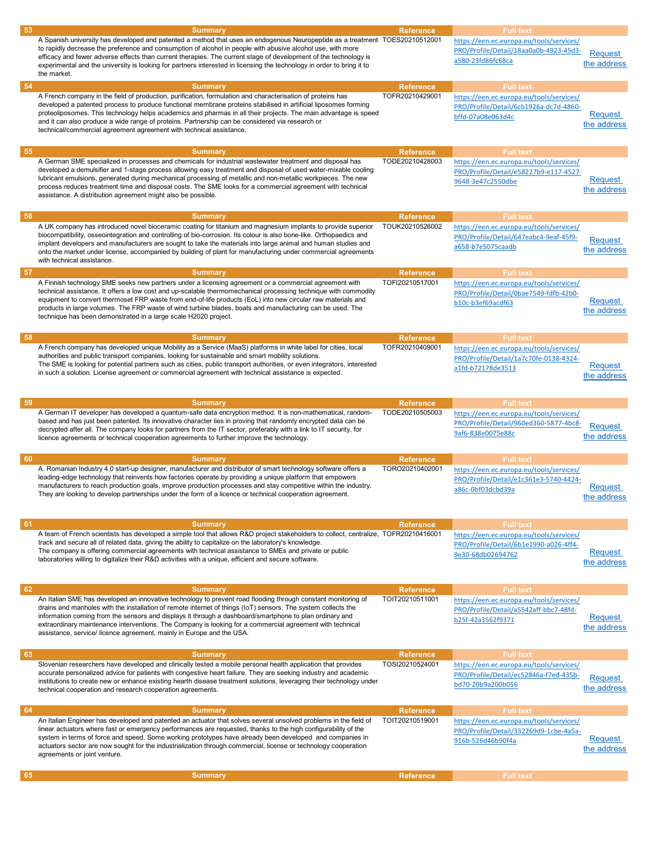| 53  | <b>Summary</b>                                                                                                                                                                                                                                                                                                                                                                                                                                                                                                                                | <b>Reference</b>                    | <b>Full text</b>                                                                                                            |                               |
|-----|-----------------------------------------------------------------------------------------------------------------------------------------------------------------------------------------------------------------------------------------------------------------------------------------------------------------------------------------------------------------------------------------------------------------------------------------------------------------------------------------------------------------------------------------------|-------------------------------------|-----------------------------------------------------------------------------------------------------------------------------|-------------------------------|
|     | A Spanish university has developed and patented a method that uses an endogenous Neuropeptide as a treatment TOES20210512001<br>to rapidly decrease the preference and consumption of alcohol in people with abusive alcohol use, with more<br>efficacy and fewer adverse effects than current therapies. The current stage of development of the technology is<br>experimental and the university is looking for partners interested in licensing the technology in order to bring it to<br>the market.                                      |                                     | https://een.ec.europa.eu/tools/services/<br>PRO/Profile/Detail/18aa0a0b-4923-45d3-<br>a580-23fd86fc68ca                     | <b>Request</b><br>the address |
| 54  | <b>Summary</b><br>A French company in the field of production, purification, formulation and characterisation of proteins has<br>developed a patented process to produce functional membrane proteins stabilised in artificial liposomes forming<br>proteoliposomes. This technology helps academics and pharmas in all their projects. The main advantage is speed<br>and it can also produce a wide range of proteins. Partnership can be considered via research or<br>technical/commercial agreement agreement with technical assistance. | <b>Reference</b><br>TOFR20210429001 | <b>Full text</b><br>https://een.ec.europa.eu/tools/services/<br>PRO/Profile/Detail/6cb1926a-dc7d-4860-<br>bffd-07a08e063d4c | Request<br>the address        |
| 55  | <b>Summary</b>                                                                                                                                                                                                                                                                                                                                                                                                                                                                                                                                | <b>Reference</b>                    | <b>Full text</b>                                                                                                            |                               |
|     | A German SME specialized in processes and chemicals for industrial wastewater treatment and disposal has<br>developed a demulsifier and 1-stage process allowing easy treatment and disposal of used water-mixable cooling<br>lubricant emulsions, generated during mechanical processing of metallic and non-metallic workpieces. The new<br>process reduces treatment time and disposal costs. The SME looks for a commercial agreement with technical<br>assistance. A distribution agreement might also be possible.                      | TODE20210428003                     | https://een.ec.europa.eu/tools/services/<br>PRO/Profile/Detail/e58227b9-e117-4527-<br>9648-3e47c2550dbe                     | Request<br>the address        |
| 56  | <b>Summary</b><br>A UK company has introduced novel bioceramic coating for titanium and magnesium implants to provide superior<br>biocompatibility, osseointegration and controlling of bio-corrosion. Its colour is also bone-like. Orthopaedics and<br>implant developers and manufacturers are sought to take the materials into large animal and human studies and<br>onto the market under license, accompanied by building of plant for manufacturing under commercial agreements<br>with technical assistance.                         | <b>Reference</b><br>TOUK20210526002 | <b>Full text</b><br>https://een.ec.europa.eu/tools/services/<br>PRO/Profile/Detail/647eabc4-9eaf-45f9-<br>a658-b7e5075caadb | Request<br>the address        |
| -57 | <b>Summary</b><br>A Finnish technology SME seeks new partners under a licensing agreement or a commercial agreement with<br>technical assistance. It offers a low cost and up-scalable thermomechanical processing technique with commodity<br>equipment to convert thermoset FRP waste from end-of-life products (EoL) into new circular raw materials and<br>products in large volumes. The FRP waste of wind turbine blades, boats and manufacturing can be used. The<br>technique has been demonstrated in a large scale H2020 project.   | <b>Reference</b><br>TOFI20210517001 | <b>Full text</b><br>https://een.ec.europa.eu/tools/services/<br>PRO/Profile/Detail/0bae7549-fdfb-42b0-<br>b10c-b3ef69acdf63 | Request<br>the address        |
| 58  | <b>Summary</b><br>A French company has developed unique Mobility as a Service (MaaS) platforms in white label for cities, local<br>authorities and public transport companies, looking for sustainable and smart mobility solutions.<br>The SME is looking for potential partners such as cities, public transport authorities, or even integrators, interested<br>in such a solution. License agreement or commercial agreement with technical assistance is expected.                                                                       | <b>Reference</b><br>TOFR20210409001 | <b>Full text</b><br>https://een.ec.europa.eu/tools/services/<br>PRO/Profile/Detail/1a7c70fe-0138-4324-<br>a1fd-b72178de3513 | Request<br>the address        |
| 59  | <b>Summary</b><br>A German IT developer has developed a quantum-safe data encryption method. It is non-mathematical, random-<br>based and has just been patented. Its innovative character lies in proving that randomly encrypted data can be<br>decrypted after all. The company looks for partners from the IT sector, preferably with a link to IT security, for<br>licence agreements or technical cooperation agreements to further improve the technology.                                                                             | <b>Reference</b><br>TODE20210505003 | <b>Full text</b><br>https://een.ec.europa.eu/tools/services/<br>PRO/Profile/Detail/960ed360-5877-4bc8-<br>9af6-838e0075e88c | <b>Request</b><br>the address |
| 60  | <b>Summary</b>                                                                                                                                                                                                                                                                                                                                                                                                                                                                                                                                | <b>Reference</b>                    | <b>Full text</b>                                                                                                            |                               |
|     | A Romanian Industry 4.0 start-up designer, manufacturer and distributor of smart technology software offers a<br>leading-edge technology that reinvents how factories operate by providing a unique platform that empowers<br>manufacturers to reach production goals, improve production processes and stay competitive within the industry.<br>They are looking to develop partnerships under the form of a licence or technical cooperation agreement.                                                                                     | TORO20210402001                     | https://een.ec.europa.eu/tools/services/<br>PRO/Profile/Detail/e1c361e3-5740-4424-<br>a86c-0bf03dcbd39a                     | Request<br>the address        |
| 61  | <b>Summary</b><br>A team of French scientists has developed a simple tool that allows R&D project stakeholders to collect, centralize, TOFR20210416001<br>track and secure all of related data, giving the ability to capitalize on the laboratory's knowledge.<br>The company is offering commercial agreements with technical assistance to SMEs and private or public<br>laboratories willing to digitalize their R&D activities with a unique, efficient and secure software.                                                             | <b>Reference</b>                    | <b>Full text</b><br>https://een.ec.europa.eu/tools/services/<br>PRO/Profile/Detail/6b1e1990-a026-4ff4-<br>9e30-68db02694762 | Request<br>the address        |
| 62  | <b>Summary</b>                                                                                                                                                                                                                                                                                                                                                                                                                                                                                                                                | <b>Reference</b>                    | <b>Full text</b>                                                                                                            |                               |
|     | An Italian SME has developed an innovative technology to prevent road flooding through constant monitoring of<br>drains and manholes with the installation of remote internet of things (IoT) sensors. The system collects the<br>information coming from the sensors and displays it through a dashboard/smartphone to plan ordinary and<br>extraordinary maintenance interventions. The Company is looking for a commercial agreement with technical<br>assistance, service/ licence agreement, mainly in Europe and the USA.               | TOIT20210511001                     | https://een.ec.europa.eu/tools/services/<br>PRO/Profile/Detail/a5542aff-bbc7-48fd-<br>b25f-42a3562f9371                     | Request<br>the address        |
| 63  | <b>Summary</b>                                                                                                                                                                                                                                                                                                                                                                                                                                                                                                                                | <b>Reference</b>                    | <b>Full text</b>                                                                                                            |                               |
|     | Slovenian researchers have developed and clinically tested a mobile personal health application that provides<br>accurate personalized advice for patients with congestive heart failure. They are seeking industry and academic<br>institutions to create new or enhance existing hearth disease treatment solutions, leveraging their technology under<br>technical cooperation and research cooperation agreements.                                                                                                                        | TOSI20210524001                     | https://een.ec.europa.eu/tools/services/<br>PRO/Profile/Detail/ec52846a-f7ed-435b-<br>bd70-20b9a200b056                     | Request<br>the address        |
| 64  | <b>Summary</b>                                                                                                                                                                                                                                                                                                                                                                                                                                                                                                                                | <b>Reference</b>                    | <b>Full text</b>                                                                                                            |                               |
|     | An Italian Engineer has developed and patented an actuator that solves several unsolved problems in the field of<br>linear actuators where fast or emergency performances are requested, thanks to the high configurability of the<br>system in terms of force and speed. Some working prototypes have already been developed and companies in<br>actuators sector are now sought for the industrialization through commercial, license or technology cooperation<br>agreements or joint venture.                                             | TOIT20210519001                     | https://een.ec.europa.eu/tools/services/<br>PRO/Profile/Detail/332269d9-1cbe-4a5a-<br>916b-526d46b90f4a                     | <b>Request</b><br>the address |
| 65  | <b>Summary</b>                                                                                                                                                                                                                                                                                                                                                                                                                                                                                                                                | <b>Reference</b>                    | <b>Full text</b>                                                                                                            |                               |
|     |                                                                                                                                                                                                                                                                                                                                                                                                                                                                                                                                               |                                     |                                                                                                                             |                               |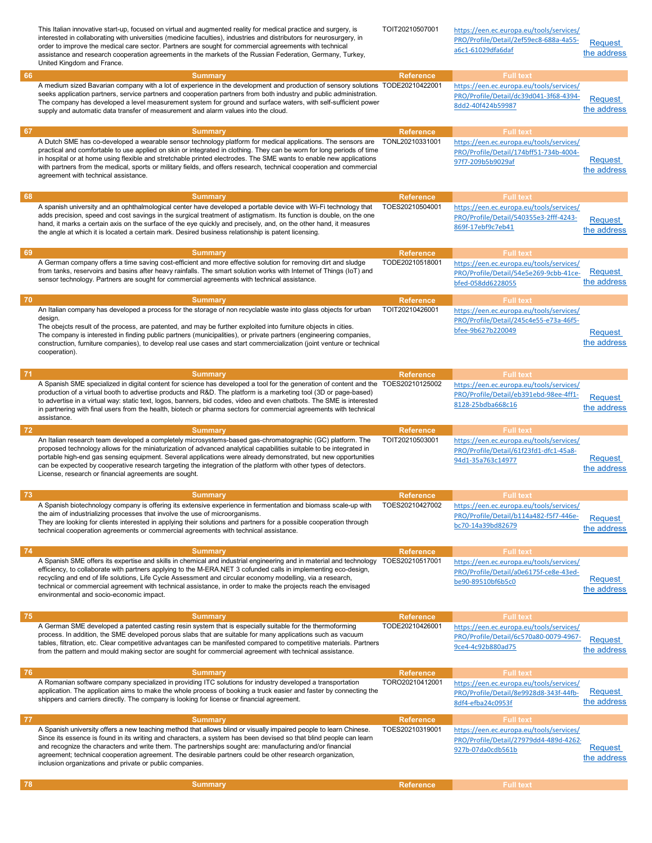|    | This Italian innovative start-up, focused on virtual and augmented reality for medical practice and surgery, is<br>interested in collaborating with universities (medicine faculties), industries and distributors for neurosurgery, in<br>order to improve the medical care sector. Partners are sought for commercial agreements with technical<br>assistance and research cooperation agreements in the markets of the Russian Federation, Germany, Turkey,<br>United Kingdom and France.                                                      | TOIT20210507001                     | https://een.ec.europa.eu/tools/services/<br>PRO/Profile/Detail/2ef59ec8-688a-4a55-<br>a6c1-61029dfa6daf                     | Request<br>the address        |
|----|---------------------------------------------------------------------------------------------------------------------------------------------------------------------------------------------------------------------------------------------------------------------------------------------------------------------------------------------------------------------------------------------------------------------------------------------------------------------------------------------------------------------------------------------------|-------------------------------------|-----------------------------------------------------------------------------------------------------------------------------|-------------------------------|
| 66 | <b>Summary</b><br>A medium sized Bavarian company with a lot of experience in the development and production of sensory solutions TODE20210422001<br>seeks application partners, service partners and cooperation partners from both industry and public administration.<br>The company has developed a level measurement system for ground and surface waters, with self-sufficient power<br>supply and automatic data transfer of measurement and alarm values into the cloud.                                                                  | <b>Reference</b>                    | <b>Full text</b><br>https://een.ec.europa.eu/tools/services/<br>PRO/Profile/Detail/dc39d041-3f68-4394-<br>8dd2-40f424b59987 | Request<br>the address        |
| 67 | <b>Summary</b><br>A Dutch SME has co-developed a wearable sensor technology platform for medical applications. The sensors are<br>practical and comfortable to use applied on skin or integrated in clothing. They can be worn for long periods of time<br>in hospital or at home using flexible and stretchable printed electrodes. The SME wants to enable new applications<br>with partners from the medical, sports or military fields, and offers research, technical cooperation and commercial<br>agreement with technical assistance.     | <b>Reference</b><br>TONL20210331001 | <b>Full text</b><br>https://een.ec.europa.eu/tools/services/<br>PRO/Profile/Detail/174bff51-734b-4004-<br>97f7-209b5b9029af | Request<br>the address        |
| 68 | <b>Summary</b><br>A spanish university and an ophthalmological center have developed a portable device with Wi-Fi technology that<br>adds precision, speed and cost savings in the surgical treatment of astigmatism. Its function is double, on the one<br>hand, it marks a certain axis on the surface of the eye quickly and precisely, and, on the other hand, it measures<br>the angle at which it is located a certain mark. Desired business relationship is patent licensing.                                                             | <b>Reference</b><br>TOES20210504001 | <b>Full text</b><br>https://een.ec.europa.eu/tools/services/<br>PRO/Profile/Detail/540355e3-2fff-4243-<br>869f-17ebf9c7eb41 | <b>Request</b><br>the address |
| 69 | <b>Summary</b><br>A German company offers a time saving cost-efficient and more effective solution for removing dirt and sludge<br>from tanks, reservoirs and basins after heavy rainfalls. The smart solution works with Internet of Things (IoT) and<br>sensor technology. Partners are sought for commercial agreements with technical assistance.                                                                                                                                                                                             | <b>Reference</b><br>TODE20210518001 | <b>Full text</b><br>https://een.ec.europa.eu/tools/services/<br>PRO/Profile/Detail/54e5e269-9cbb-41ce-<br>bfed-058dd6228055 | Request<br>the address        |
| 70 | <b>Summary</b><br>An Italian company has developed a process for the storage of non recyclable waste into glass objects for urban<br>design.<br>The obejcts result of the process, are patented, and may be further exploited into furniture objects in cities.<br>The company is interested in finding public partners (municipalities), or private partners (engineering companies,<br>construction, furniture companies), to develop real use cases and start commercialization (joint venture or technical<br>cooperation).                   | <b>Reference</b><br>TOIT20210426001 | <b>Full text</b><br>https://een.ec.europa.eu/tools/services/<br>PRO/Profile/Detail/245c4e55-e73a-46f5-<br>bfee-9b627b220049 | <b>Request</b><br>the address |
| 71 | <b>Summary</b><br>A Spanish SME specialized in digital content for science has developed a tool for the generation of content and the TOES20210125002<br>production of a virtual booth to advertise products and R&D. The platform is a marketing tool (3D or page-based)<br>to advertise in a virtual way: static text, logos, banners, bid codes, video and even chatbots. The SME is interested<br>in partnering with final users from the health, biotech or pharma sectors for commercial agreements with technical                          | <b>Reference</b>                    | <b>Full text</b><br>https://een.ec.europa.eu/tools/services/<br>PRO/Profile/Detail/eb391ebd-98ee-4ff1-<br>8128-25bdba668c16 | <b>Request</b><br>the address |
|    | assistance.                                                                                                                                                                                                                                                                                                                                                                                                                                                                                                                                       |                                     |                                                                                                                             |                               |
| 72 | <b>Summary</b><br>An Italian research team developed a completely microsystems-based gas-chromatographic (GC) platform. The<br>proposed technology allows for the miniaturization of advanced analytical capabilities suitable to be integrated in<br>portable high-end gas sensing equipment. Several applications were already demonstrated, but new opportunities<br>can be expected by cooperative research targeting the integration of the platform with other types of detectors.<br>License, research or financial agreements are sought. | <b>Reference</b><br>TOIT20210503001 | <b>Full text</b><br>https://een.ec.europa.eu/tools/services/<br>PRO/Profile/Detail/61f23fd1-dfc1-45a8-<br>94d1-35a763c14977 | <b>Request</b><br>the address |
| 73 | <b>Summary</b><br>A Spanish biotechnology company is offering its extensive experience in fermentation and biomass scale-up with<br>the aim of industrializing processes that involve the use of microorganisms.<br>They are looking for clients interested in applying their solutions and partners for a possible cooperation through<br>technical cooperation agreements or commercial agreements with technical assistance.                                                                                                                   | <b>Reference</b><br>TOES20210427002 | <b>Full text</b><br>https://een.ec.europa.eu/tools/services/<br>PRO/Profile/Detail/b114a482-f5f7-446e-<br>bc70-14a39bd82679 | <b>Request</b><br>the address |
| 74 | <b>Summary</b><br>A Spanish SME offers its expertise and skills in chemical and industrial engineering and in material and technology<br>efficiency, to collaborate with partners applying to the M-ERA.NET 3 cofunded calls in implementing eco-design,<br>recycling and end of life solutions, Life Cycle Assessment and circular economy modelling, via a research,<br>technical or commercial agreement with technical assistance, in order to make the projects reach the envisaged<br>environmental and socio-economic impact.              | <b>Reference</b><br>TOES20210517001 | <b>Full text</b><br>https://een.ec.europa.eu/tools/services/<br>PRO/Profile/Detail/a0e6175f-ce8e-43ed-<br>be90-89510bf6b5c0 | <b>Request</b><br>the address |
| 75 | <b>Summary</b><br>A German SME developed a patented casting resin system that is especially suitable for the thermoforming<br>process. In addition, the SME developed porous slabs that are suitable for many applications such as vacuum<br>tables, filtration, etc. Clear competitive advantages can be manifested compared to competitive materials. Partners<br>from the pattern and mould making sector are sought for commercial agreement with technical assistance.                                                                       | <b>Reference</b><br>TODE20210426001 | <b>Full text</b><br>https://een.ec.europa.eu/tools/services/<br>PRO/Profile/Detail/6c570a80-0079-4967-<br>9ce4-4c92b880ad75 | <b>Request</b><br>the address |
| 76 | <b>Summary</b><br>A Romanian software company specialized in providing ITC solutions for industry developed a transportation<br>application. The application aims to make the whole process of booking a truck easier and faster by connecting the<br>shippers and carriers directly. The company is looking for license or financial agreement.                                                                                                                                                                                                  | <b>Reference</b><br>TORO20210412001 | <b>Full text</b><br>https://een.ec.europa.eu/tools/services/<br>PRO/Profile/Detail/8e9928d8-343f-44fb-<br>8df4-efba24c0953f | Request<br>the address        |
| 77 | <b>Summary</b><br>A Spanish university offers a new teaching method that allows blind or visually impaired people to learn Chinese.<br>Since its essence is found in its writing and characters, a system has been devised so that blind people can learn<br>and recognize the characters and write them. The partnerships sought are: manufacturing and/or financial<br>agreement; technical cooperation agreement. The desirable partners could be other research organization,<br>inclusion organizations and private or public companies.     | <b>Reference</b><br>TOES20210319001 | <b>Full text</b><br>https://een.ec.europa.eu/tools/services/<br>PRO/Profile/Detail/27979dd4-489d-4262-<br>927b-07da0cdb561b | Request<br>the address        |